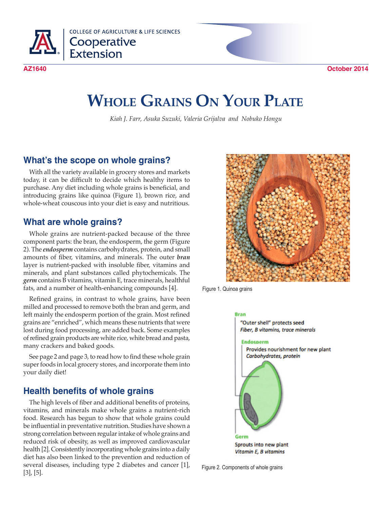

**COLLEGE OF AGRICULTURE & LIFE SCIENCES** Cooperative<br>Extension

# **Whole Grains On Your Plate**

*Kiah J. Farr, Asuka Suzuki, Valeria Grijalva and Nobuko Hongu*

# **What's the scope on whole grains?**

With all the variety available in grocery stores and markets today, it can be difficult to decide which healthy items to purchase. Any diet including whole grains is beneficial, and introducing grains like quinoa (Figure 1), brown rice, and whole-wheat couscous into your diet is easy and nutritious.

# **What are whole grains?**

Whole grains are nutrient-packed because of the three component parts: the bran, the endosperm, the germ (Figure 2). The *endosperm* contains carbohydrates, protein, and small amounts of fiber, vitamins, and minerals. The outer *bran*  layer is nutrient-packed with insoluble fiber, vitamins and minerals, and plant substances called phytochemicals. The *germ* contains B vitamins, vitamin E, trace minerals, healthful fats, and a number of health-enhancing compounds [4].

Refined grains, in contrast to whole grains, have been milled and processed to remove both the bran and germ, and left mainly the endosperm portion of the grain. Most refined grains are "enriched", which means these nutrients that were lost during food processing, are added back. Some examples of refined grain products are white rice, white bread and pasta, many crackers and baked goods.

See page 2 and page 3, to read how to find these whole grain super foods in local grocery stores, and incorporate them into your daily diet!

# **Health benefits of whole grains**

The high levels of fiber and additional benefits of proteins, vitamins, and minerals make whole grains a nutrient-rich food. Research has begun to show that whole grains could be influential in preventative nutrition. Studies have shown a strong correlation between regular intake of whole grains and reduced risk of obesity, as well as improved cardiovascular health [2]. Consistently incorporating whole grains into a daily diet has also been linked to the prevention and reduction of several diseases, including type 2 diabetes and cancer [1], [3], [5].



Figure 1. Quinoa grains



Figure 2. Components of whole grains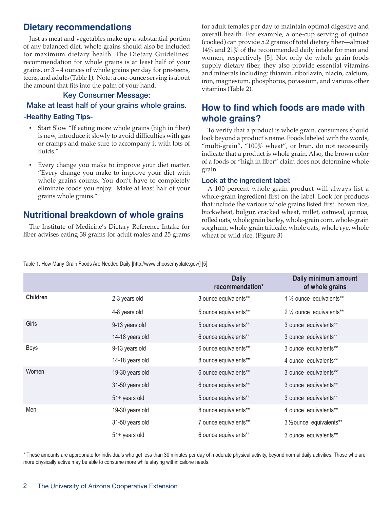# **Dietary recommendations**

Just as meat and vegetables make up a substantial portion of any balanced diet, whole grains should also be included for maximum dietary health. The Dietary Guidelines' recommendation for whole grains is at least half of your grains, or 3 – 4 ounces of whole grains per day for pre-teens, teens, and adults (Table 1). Note: a one-ounce serving is about the amount that fits into the palm of your hand.

# Key Consumer Message: Make at least half of your grains whole grains.

### **-Healthy Eating Tips-**

- Start Slow "If eating more whole grains (high in fiber) is new, introduce it slowly to avoid difficulties with gas or cramps and make sure to accompany it with lots of fluids."
- Every change you make to improve your diet matter. "Every change you make to improve your diet with whole grains counts. You don't have to completely eliminate foods you enjoy. Make at least half of your grains whole grains."

# **Nutritional breakdown of whole grains**

The Institute of Medicine's Dietary Reference Intake for fiber advises eating 38 grams for adult males and 25 grams for adult females per day to maintain optimal digestive and overall health. For example, a one-cup serving of quinoa (cooked) can provide 5.2 grams of total dietary fiber—almost 14% and 21% of the recommended daily intake for men and women, respectively [5]. Not only do whole grain foods supply dietary fiber, they also provide essential vitamins and minerals including: thiamin, riboflavin, niacin, calcium, iron, magnesium, phosphorus, potassium, and various other vitamins (Table 2).

# **How to find which foods are made with whole grains?**

To verify that a product is whole grain, consumers should look beyond a product's name. Foods labeled with the words, "multi-grain", "100% wheat", or bran, do not necessarily indicate that a product is whole grain. Also, the brown color of a foods or "high in fiber" claim does not determine whole grain.

### Look at the ingredient label:

A 100-percent whole-grain product will always list a whole-grain ingredient first on the label. Look for products that include the various whole grains listed first: brown rice, buckwheat, bulgur, cracked wheat, millet, oatmeal, quinoa, rolled oats, whole grain barley, whole-grain corn, whole-grain sorghum, whole-grain triticale, whole oats, whole rye, whole wheat or wild rice. (Figure 3)

Table 1. How Many Grain Foods Are Needed Daily [http://www.choosemyplate.gov/] [5]

|                 |                 | <b>Daily</b><br>recommendation* | Daily minimum amount<br>of whole grains |
|-----------------|-----------------|---------------------------------|-----------------------------------------|
| <b>Children</b> | 2-3 years old   | 3 ounce equivalents**           | 1 1/2 ounce equivalents**               |
|                 | 4-8 years old   | 5 ounce equivalents**           | 2 1/2 ounce equivalents**               |
| Girls           | 9-13 years old  | 5 ounce equivalents**           | 3 ounce equivalents**                   |
|                 | 14-18 years old | 6 ounce equivalents**           | 3 ounce equivalents**                   |
| Boys            | 9-13 years old  | 6 ounce equivalents**           | 3 ounce equivalents**                   |
|                 | 14-18 years old | 8 ounce equivalents**           | 4 ounce equivalents**                   |
| Women           | 19-30 years old | 6 ounce equivalents**           | 3 ounce equivalents**                   |
|                 | 31-50 years old | 6 ounce equivalents**           | 3 ounce equivalents**                   |
|                 | 51+ years old   | 5 ounce equivalents**           | 3 ounce equivalents**                   |
| Men             | 19-30 years old | 8 ounce equivalents**           | 4 ounce equivalents**                   |
|                 | 31-50 years old | 7 ounce equivalents**           | 3 1/2 ounce equivalents**               |
|                 | 51+ years old   | 6 ounce equivalents**           | 3 ounce equivalents**                   |

\* These amounts are appropriate for individuals who get less than 30 minutes per day of moderate physical activity, beyond normal daily activities. Those who are more physically active may be able to consume more while staying within calorie needs.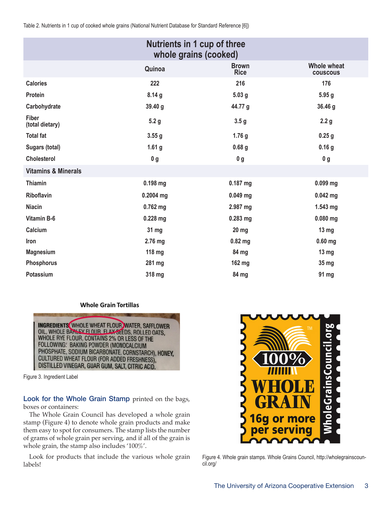Table 2. Nutrients in 1 cup of cooked whole grains (National Nutrient Database for Standard Reference [6])

| Nutrients in 1 cup of three<br>whole grains (cooked) |                   |                             |                                       |  |  |
|------------------------------------------------------|-------------------|-----------------------------|---------------------------------------|--|--|
|                                                      | Quinoa            | <b>Brown</b><br><b>Rice</b> | <b>Whole wheat</b><br><b>COUSCOUS</b> |  |  |
| <b>Calories</b>                                      | 222               | 216                         | 176                                   |  |  |
| Protein                                              | 8.14g             | 5.03 <sub>g</sub>           | 5.95g                                 |  |  |
| Carbohydrate                                         | 39.40 g           | 44.77 g                     | 36.46 g                               |  |  |
| <b>Fiber</b><br>(total dietary)                      | 5.2 <sub>g</sub>  | 3.5 <sub>g</sub>            | 2.2 <sub>g</sub>                      |  |  |
| <b>Total fat</b>                                     | 3.55g             | 1.76 <sub>g</sub>           | 0.25 <sub>g</sub>                     |  |  |
| Sugars (total)                                       | 1.61 <sub>g</sub> | 0.68 <sub>g</sub>           | 0.16 <sub>g</sub>                     |  |  |
| <b>Cholesterol</b>                                   | 0 <sub>g</sub>    | 0 <sub>g</sub>              | 0 <sub>g</sub>                        |  |  |
| <b>Vitamins &amp; Minerals</b>                       |                   |                             |                                       |  |  |
| <b>Thiamin</b>                                       | 0.198 mg          | 0.187 mg                    | $0.099$ mg                            |  |  |
| <b>Riboflavin</b>                                    | $0.2004$ mg       | $0.049$ mg                  | $0.042$ mg                            |  |  |
| <b>Niacin</b>                                        | $0.762$ mg        | 2.987 mg                    | 1.543 mg                              |  |  |
| <b>Vitamin B-6</b>                                   | $0.228$ mg        | $0.283$ mg                  | $0.080$ mg                            |  |  |
| Calcium                                              | 31 mg             | $20$ mg                     | 13 <sub>mg</sub>                      |  |  |
| Iron                                                 | 2.76 mg           | $0.82$ mg                   | $0.60$ mg                             |  |  |
| <b>Magnesium</b>                                     | 118 mg            | 84 mg                       | 13 <sub>mg</sub>                      |  |  |
| Phosphorus                                           | 281 mg            | 162 mg                      | 35 mg                                 |  |  |
| Potassium                                            | 318 mg            | 84 mg                       | 91 mg                                 |  |  |

#### **Whole Grain Tortillas**

**INGREDIENTS** WHOLE WHEAT FLOUR, WATER, SAFFLOWER OIL, WHOLE BANLEY FLOUR, FLAX SEEDS, ROLLED OATS. WHOLE RYE FLOUR, CONTAINS 2% OR LESS OF THE FOLLOWING: BAKING POWDER (MONOCALCIUM PHOSPHATE, SODIUM BICARBONATE, CORNSTARCH), HONEY, CULTURED WHEAT FLOUR (FOR ADDED FRESHNESS), DISTILLED VINEGAR, GUAR GUM, SALT, CITRIC ACID.

Figure 3. Ingredient Label

Look for the Whole Grain Stamp printed on the bags, boxes or containers:

The Whole Grain Council has developed a whole grain stamp (Figure 4) to denote whole grain products and make them easy to spot for consumers. The stamp lists the number of grams of whole grain per serving, and if all of the grain is whole grain, the stamp also includes '100%'.

Look for products that include the various whole grain labels!



Figure 4. Whole grain stamps. Whole Grains Council, http://wholegrainscouncil.org/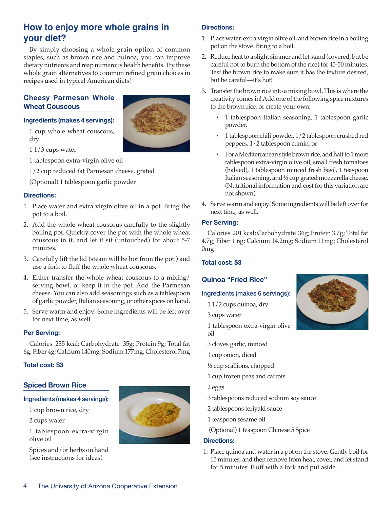# **How to enjoy more whole grains in your diet?**

By simply choosing a whole grain option of common staples, such as brown rice and quinoa, you can improve dietary nutrients and reap numerous health benefits. Try these whole grain alternatives to common refined grain choices in recipes used in typical American diets!

## **Cheesy Parmesan Whole Wheat Couscous**

#### **Ingredients (makes 4 servings):**

1 cup whole wheat couscous, dry



1 1/3 cups water

1 tablespoon extra-virgin olive oil

1/2 cup reduced fat Parmesan cheese, grated

(Optional) 1 tablespoon garlic powder

#### **Directions:**

- 1. Place water and extra virgin olive oil in a pot. Bring the pot to a boil.
- 2. Add the whole wheat couscous carefully to the slightly boiling pot. Quickly cover the pot with the whole wheat couscous in it, and let it sit (untouched) for about 5-7 minutes.
- 3. Carefully lift the lid (steam will be hot from the pot!) and use a fork to fluff the whole wheat couscous.
- 4. Either transfer the whole wheat couscous to a mixing/ serving bowl, or keep it in the pot. Add the Parmesan cheese. You can also add seasonings such as a tablespoon of garlic powder, Italian seasoning, or other spices on hand.
- 5. Serve warm and enjoy! Some ingredients will be left over for next time, as well.

#### **Per Serving:**

Calories 235 kcal; Carbohydrate 35g; Protein 9g; Total fat 6g; Fiber 4g; Calcium 140mg; Sodium 177mg; Cholesterol 7mg

### **Total cost: \$3**

### **Spiced Brown Rice**

#### Ingredients (makes 4 servings):

1 cup brown rice, dry

2 cups water

1 tablespoon extra-virgin olive oil

Spices and/or herbs on hand (see instructions for ideas)



### **Directions:**

- 1. Place water, extra virgin olive oil, and brown rice in a boiling pot on the stove. Bring to a boil.
- 2. Reduce heat to a slight simmer and let stand (covered, but be careful not to burn the bottom of the rice) for 45-50 minutes. Test the brown rice to make sure it has the texture desired, but be careful—it's hot!
- 3. Transfer the brown rice into a mixing bowl. This is where the creativity comes in! Add one of the following spice mixtures to the brown rice, or create your own:
	- 1 tablespoon Italian seasoning, 1 tablespoon garlic powder,
	- 1 tablespoon chili powder, 1/2 tablespoon crushed red peppers, 1/2 tablespoon cumin, or
	- For a Mediterranean style brown rice, add half to 1 more tablespoon extra-virgin olive oil, small fresh tomatoes (halved), 1 tablespoon minced fresh basil, 1 teaspoon Italian seasoning, and ½ cup grated mozzarella cheese. (Nutritional information and cost for this variation are not shown)
- 4. Serve warm and enjoy! Some ingredients will be left over for next time, as well.

#### **Per Serving:**

Calories 201 kcal; Carbohydrate 36g; Protein 3.7g; Total fat 4.7g; Fiber 1.6g; Calcium 14.2mg; Sodium 11mg; Cholesterol 0mg

### **Total cost: \$3**

### **Quinoa "Fried Rice"**

### Ingredients (makes 6 servings):

- 1 1/2 cups quinoa, dry
- 3 cups water

1 tablespoon extra-virgin olive oil

- 3 cloves garlic, minced
- 1 cup onion, diced
- ½ cup scallions, chopped
- 1 cup frozen peas and carrots

2 eggs

- 3 tablespoons reduced sodium soy sauce
- 2 tablespoons teriyaki sauce
- 1 teaspoon sesame oil
- (Optional) 1 teaspoon Chinese 5 Spice

### **Directions:**

1. Place quinoa and water in a pot on the stove. Gently boil for 15 minutes, and then remove from heat, cover, and let stand for 5 minutes. Fluff with a fork and put aside.